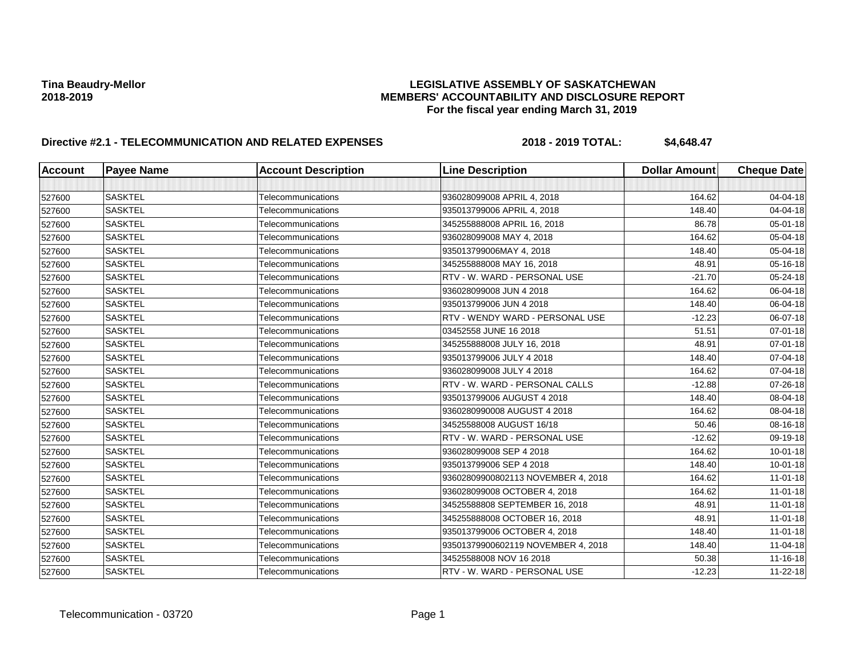# Tina Beaudry-Mellor<br>LEGISLATIVE ASSEMBLY OF SASKATCHEWAN<br>MEMBERS' ACCOUNTABILITY AND DISCLOSURE REF **2018-2019 MEMBERS' ACCOUNTABILITY AND DISCLOSURE REPORT For the fiscal year ending March 31, 2019**

# **Directive #2.1 - TELECOMMUNICATION AND RELATED EXPENSES** 2018 - 2018 - 2019 TOTAL: \$4,648.47

| <b>Account</b> | <b>Payee Name</b> | <b>Account Description</b> | <b>Line Description</b>            | <b>Dollar Amount</b> | <b>Cheque Date</b> |
|----------------|-------------------|----------------------------|------------------------------------|----------------------|--------------------|
|                |                   |                            |                                    |                      |                    |
| 527600         | <b>SASKTEL</b>    | Telecommunications         | 936028099008 APRIL 4, 2018         | 164.62               | 04-04-18           |
| 527600         | <b>SASKTEL</b>    | Telecommunications         | 935013799006 APRIL 4, 2018         | 148.40               | 04-04-18           |
| 527600         | <b>SASKTEL</b>    | Telecommunications         | 345255888008 APRIL 16, 2018        | 86.78                | 05-01-18           |
| 527600         | <b>SASKTEL</b>    | Telecommunications         | 936028099008 MAY 4, 2018           | 164.62               | 05-04-18           |
| 527600         | <b>SASKTEL</b>    | Telecommunications         | 935013799006MAY 4, 2018            | 148.40               | 05-04-18           |
| 527600         | <b>SASKTEL</b>    | Telecommunications         | 345255888008 MAY 16, 2018          | 48.91                | 05-16-18           |
| 527600         | <b>SASKTEL</b>    | Telecommunications         | RTV - W. WARD - PERSONAL USE       | $-21.70$             | 05-24-18           |
| 527600         | <b>SASKTEL</b>    | Telecommunications         | 936028099008 JUN 4 2018            | 164.62               | 06-04-18           |
| 527600         | <b>SASKTEL</b>    | Telecommunications         | 935013799006 JUN 4 2018            | 148.40               | 06-04-18           |
| 527600         | <b>SASKTEL</b>    | Telecommunications         | RTV - WENDY WARD - PERSONAL USE    | $-12.23$             | 06-07-18           |
| 527600         | <b>SASKTEL</b>    | Telecommunications         | 03452558 JUNE 16 2018              | 51.51                | $07 - 01 - 18$     |
| 527600         | <b>SASKTEL</b>    | Telecommunications         | 345255888008 JULY 16, 2018         | 48.91                | $07 - 01 - 18$     |
| 527600         | <b>SASKTEL</b>    | Telecommunications         | 935013799006 JULY 4 2018           | 148.40               | 07-04-18           |
| 527600         | <b>SASKTEL</b>    | Telecommunications         | 936028099008 JULY 4 2018           | 164.62               | 07-04-18           |
| 527600         | <b>SASKTEL</b>    | Telecommunications         | RTV - W. WARD - PERSONAL CALLS     | $-12.88$             | 07-26-18           |
| 527600         | <b>SASKTEL</b>    | Telecommunications         | 935013799006 AUGUST 4 2018         | 148.40               | 08-04-18           |
| 527600         | <b>SASKTEL</b>    | Telecommunications         | 9360280990008 AUGUST 4 2018        | 164.62               | 08-04-18           |
| 527600         | <b>SASKTEL</b>    | Telecommunications         | 34525588008 AUGUST 16/18           | 50.46                | 08-16-18           |
| 527600         | <b>SASKTEL</b>    | Telecommunications         | RTV - W. WARD - PERSONAL USE       | $-12.62$             | 09-19-18           |
| 527600         | <b>SASKTEL</b>    | Telecommunications         | 936028099008 SEP 4 2018            | 164.62               | $10 - 01 - 18$     |
| 527600         | <b>SASKTEL</b>    | Telecommunications         | 935013799006 SEP 4 2018            | 148.40               | $10 - 01 - 18$     |
| 527600         | <b>SASKTEL</b>    | Telecommunications         | 93602809900802113 NOVEMBER 4, 2018 | 164.62               | $11-01-18$         |
| 527600         | <b>SASKTEL</b>    | Telecommunications         | 936028099008 OCTOBER 4, 2018       | 164.62               | $11 - 01 - 18$     |
| 527600         | <b>SASKTEL</b>    | Telecommunications         | 34525588808 SEPTEMBER 16, 2018     | 48.91                | $11-01-18$         |
| 527600         | <b>SASKTEL</b>    | Telecommunications         | 345255888008 OCTOBER 16, 2018      | 48.91                | $11-01-18$         |
| 527600         | <b>SASKTEL</b>    | Telecommunications         | 935013799006 OCTOBER 4, 2018       | 148.40               | $11 - 01 - 18$     |
| 527600         | <b>SASKTEL</b>    | Telecommunications         | 93501379900602119 NOVEMBER 4, 2018 | 148.40               | $11-04-18$         |
| 527600         | <b>SASKTEL</b>    | Telecommunications         | 34525588008 NOV 16 2018            | 50.38                | $11 - 16 - 18$     |
| 527600         | <b>SASKTEL</b>    | Telecommunications         | RTV - W. WARD - PERSONAL USE       | $-12.23$             | 11-22-18           |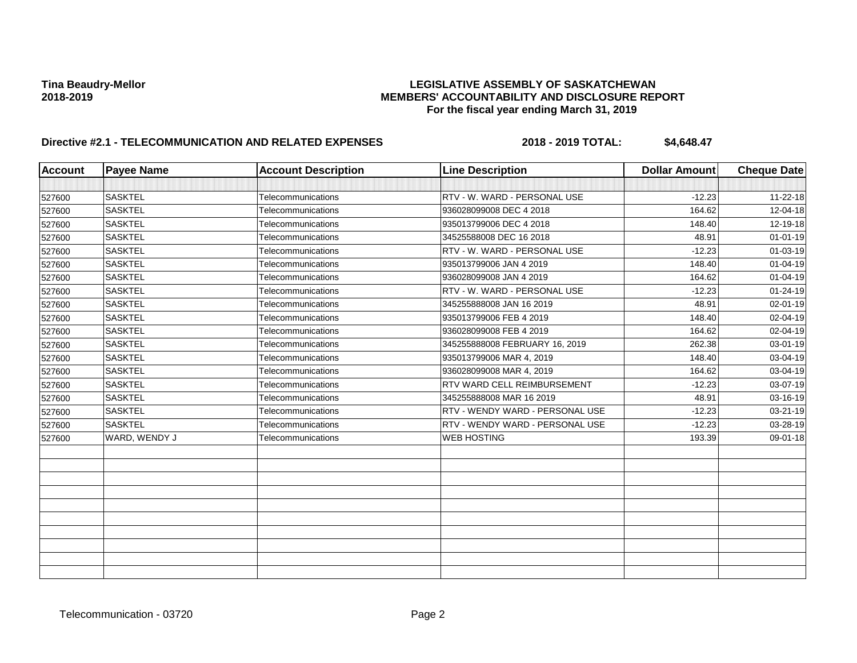# Tina Beaudry-Mellor<br>LEGISLATIVE ASSEMBLY OF SASKATCHEWAN<br>MEMBERS' ACCOUNTABILITY AND DISCLOSURE REF **2018-2019 MEMBERS' ACCOUNTABILITY AND DISCLOSURE REPORT For the fiscal year ending March 31, 2019**

# **Directive #2.1 - TELECOMMUNICATION AND RELATED EXPENSES** 2018 - 2018 - 2019 TOTAL: \$4,648.47

| <b>Account</b> | <b>Payee Name</b> | <b>Account Description</b> | <b>Line Description</b>         | <b>Dollar Amount</b> | <b>Cheque Date</b> |
|----------------|-------------------|----------------------------|---------------------------------|----------------------|--------------------|
|                |                   |                            |                                 |                      |                    |
| 527600         | <b>SASKTEL</b>    | Telecommunications         | RTV - W. WARD - PERSONAL USE    | $-12.23$             | 11-22-18           |
| 527600         | <b>SASKTEL</b>    | Telecommunications         | 936028099008 DEC 4 2018         | 164.62               | $12 - 04 - 18$     |
| 527600         | <b>SASKTEL</b>    | Telecommunications         | 935013799006 DEC 4 2018         | 148.40               | 12-19-18           |
| 527600         | <b>SASKTEL</b>    | Telecommunications         | 34525588008 DEC 16 2018         | 48.91                | $01 - 01 - 19$     |
| 527600         | <b>SASKTEL</b>    | Telecommunications         | RTV - W. WARD - PERSONAL USE    | $-12.23$             | $01 - 03 - 19$     |
| 527600         | <b>SASKTEL</b>    | Telecommunications         | 935013799006 JAN 4 2019         | 148.40               | $01 - 04 - 19$     |
| 527600         | <b>SASKTEL</b>    | Telecommunications         | 936028099008 JAN 4 2019         | 164.62               | $01 - 04 - 19$     |
| 527600         | <b>SASKTEL</b>    | Telecommunications         | RTV - W. WARD - PERSONAL USE    | $-12.23$             | $01 - 24 - 19$     |
| 527600         | <b>SASKTEL</b>    | Telecommunications         | 345255888008 JAN 16 2019        | 48.91                | $02 - 01 - 19$     |
| 527600         | <b>SASKTEL</b>    | Telecommunications         | 935013799006 FEB 4 2019         | 148.40               | 02-04-19           |
| 527600         | <b>SASKTEL</b>    | Telecommunications         | 936028099008 FEB 4 2019         | 164.62               | 02-04-19           |
| 527600         | <b>SASKTEL</b>    | Telecommunications         | 345255888008 FEBRUARY 16, 2019  | 262.38               | 03-01-19           |
| 527600         | <b>SASKTEL</b>    | Telecommunications         | 935013799006 MAR 4, 2019        | 148.40               | 03-04-19           |
| 527600         | <b>SASKTEL</b>    | Telecommunications         | 936028099008 MAR 4, 2019        | 164.62               | 03-04-19           |
| 527600         | <b>SASKTEL</b>    | Telecommunications         | RTV WARD CELL REIMBURSEMENT     | $-12.23$             | 03-07-19           |
| 527600         | <b>SASKTEL</b>    | Telecommunications         | 345255888008 MAR 16 2019        | 48.91                | 03-16-19           |
| 527600         | <b>SASKTEL</b>    | Telecommunications         | RTV - WENDY WARD - PERSONAL USE | $-12.23$             | 03-21-19           |
| 527600         | <b>SASKTEL</b>    | Telecommunications         | RTV - WENDY WARD - PERSONAL USE | $-12.23$             | 03-28-19           |
| 527600         | WARD, WENDY J     | Telecommunications         | <b>WEB HOSTING</b>              | 193.39               | 09-01-18           |
|                |                   |                            |                                 |                      |                    |
|                |                   |                            |                                 |                      |                    |
|                |                   |                            |                                 |                      |                    |
|                |                   |                            |                                 |                      |                    |
|                |                   |                            |                                 |                      |                    |
|                |                   |                            |                                 |                      |                    |
|                |                   |                            |                                 |                      |                    |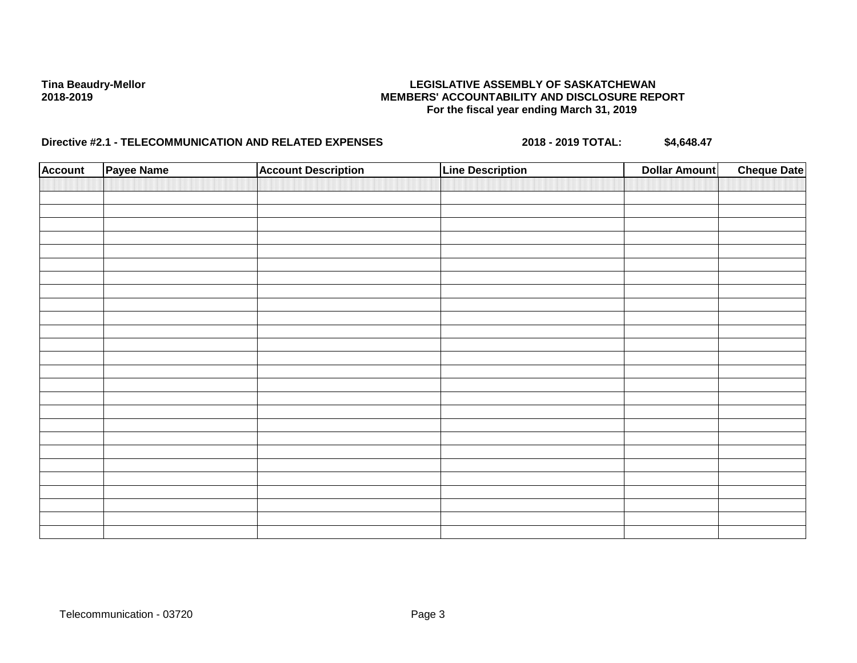# Tina Beaudry-Mellor<br>LEGISLATIVE ASSEMBLY OF SASKATCHEWAN<br>MEMBERS' ACCOUNTABILITY AND DISCLOSURE REF **2018-2019 MEMBERS' ACCOUNTABILITY AND DISCLOSURE REPORT For the fiscal year ending March 31, 2019**

# **Directive #2.1 - TELECOMMUNICATION AND RELATED EXPENSES** 2018 - 2018 - 2019 TOTAL: \$4,648.47

| <b>Account</b> | <b>Payee Name</b> | <b>Account Description</b> | <b>Line Description</b> | <b>Dollar Amount</b> | <b>Cheque Date</b> |
|----------------|-------------------|----------------------------|-------------------------|----------------------|--------------------|
|                |                   |                            |                         |                      |                    |
|                |                   |                            |                         |                      |                    |
|                |                   |                            |                         |                      |                    |
|                |                   |                            |                         |                      |                    |
|                |                   |                            |                         |                      |                    |
|                |                   |                            |                         |                      |                    |
|                |                   |                            |                         |                      |                    |
|                |                   |                            |                         |                      |                    |
|                |                   |                            |                         |                      |                    |
|                |                   |                            |                         |                      |                    |
|                |                   |                            |                         |                      |                    |
|                |                   |                            |                         |                      |                    |
|                |                   |                            |                         |                      |                    |
|                |                   |                            |                         |                      |                    |
|                |                   |                            |                         |                      |                    |
|                |                   |                            |                         |                      |                    |
|                |                   |                            |                         |                      |                    |
|                |                   |                            |                         |                      |                    |
|                |                   |                            |                         |                      |                    |
|                |                   |                            |                         |                      |                    |
|                |                   |                            |                         |                      |                    |
|                |                   |                            |                         |                      |                    |
|                |                   |                            |                         |                      |                    |
|                |                   |                            |                         |                      |                    |
|                |                   |                            |                         |                      |                    |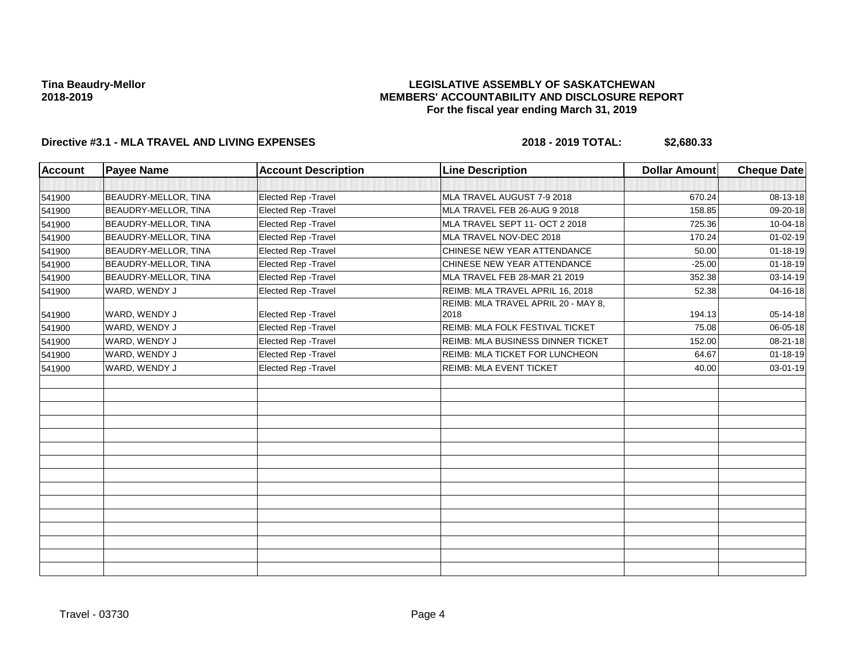### **LEGISLATIVE ASSEMBLY OF SASKATCHEWAN MEMBERS' ACCOUNTABILITY AND DISCLOSURE REPORT For the fiscal year ending March 31, 2019**

## **Directive #3.1 - MLA TRAVEL AND LIVING EXPENSES 2018 - 2019 TOTAL: \$2,680.33**

| <b>Account</b> | <b>Payee Name</b>    | <b>Account Description</b>  | <b>Line Description</b>               | <b>Dollar Amount</b> | <b>Cheque Date</b> |
|----------------|----------------------|-----------------------------|---------------------------------------|----------------------|--------------------|
|                |                      |                             |                                       |                      |                    |
| 541900         | BEAUDRY-MELLOR, TINA | Elected Rep - Travel        | MLA TRAVEL AUGUST 7-9 2018            | 670.24               | 08-13-18           |
| 541900         | BEAUDRY-MELLOR, TINA | Elected Rep - Travel        | MLA TRAVEL FEB 26-AUG 9 2018          | 158.85               | 09-20-18           |
| 541900         | BEAUDRY-MELLOR, TINA | <b>Elected Rep - Travel</b> | MLA TRAVEL SEPT 11- OCT 2 2018        | 725.36               | 10-04-18           |
| 541900         | BEAUDRY-MELLOR, TINA | Elected Rep - Travel        | MLA TRAVEL NOV-DEC 2018               | 170.24               | $01 - 02 - 19$     |
| 541900         | BEAUDRY-MELLOR, TINA | Elected Rep - Travel        | CHINESE NEW YEAR ATTENDANCE           | 50.00                | $01 - 18 - 19$     |
| 541900         | BEAUDRY-MELLOR, TINA | Elected Rep - Travel        | CHINESE NEW YEAR ATTENDANCE           | $-25.00$             | $01 - 18 - 19$     |
| 541900         | BEAUDRY-MELLOR, TINA | Elected Rep - Travel        | MLA TRAVEL FEB 28-MAR 21 2019         | 352.38               | 03-14-19           |
| 541900         | WARD, WENDY J        | Elected Rep - Travel        | REIMB: MLA TRAVEL APRIL 16, 2018      | 52.38                | 04-16-18           |
|                |                      |                             | REIMB: MLA TRAVEL APRIL 20 - MAY 8,   |                      |                    |
| 541900         | WARD, WENDY J        | Elected Rep - Travel        | 2018                                  | 194.13               | 05-14-18           |
| 541900         | WARD, WENDY J        | Elected Rep - Travel        | REIMB: MLA FOLK FESTIVAL TICKET       | 75.08                | 06-05-18           |
| 541900         | WARD, WENDY J        | Elected Rep - Travel        | REIMB: MLA BUSINESS DINNER TICKET     | 152.00               | 08-21-18           |
| 541900         | WARD, WENDY J        | Elected Rep - Travel        | <b>REIMB: MLA TICKET FOR LUNCHEON</b> | 64.67                | $01 - 18 - 19$     |
| 541900         | WARD, WENDY J        | Elected Rep - Travel        | REIMB: MLA EVENT TICKET               | 40.00                | 03-01-19           |
|                |                      |                             |                                       |                      |                    |
|                |                      |                             |                                       |                      |                    |
|                |                      |                             |                                       |                      |                    |
|                |                      |                             |                                       |                      |                    |
|                |                      |                             |                                       |                      |                    |
|                |                      |                             |                                       |                      |                    |
|                |                      |                             |                                       |                      |                    |
|                |                      |                             |                                       |                      |                    |
|                |                      |                             |                                       |                      |                    |
|                |                      |                             |                                       |                      |                    |
|                |                      |                             |                                       |                      |                    |
|                |                      |                             |                                       |                      |                    |
|                |                      |                             |                                       |                      |                    |
|                |                      |                             |                                       |                      |                    |
|                |                      |                             |                                       |                      |                    |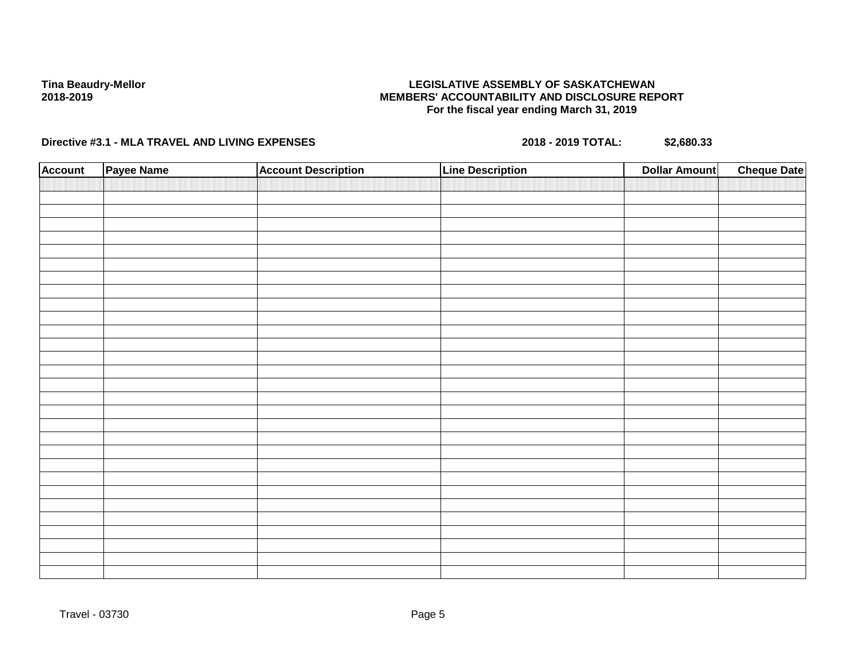### **LEGISLATIVE ASSEMBLY OF SASKATCHEWAN MEMBERS' ACCOUNTABILITY AND DISCLOSURE REPORT For the fiscal year ending March 31, 2019**

# **Directive #3.1 - MLA TRAVEL AND LIVING EXPENSES 2018 - 2019 TOTAL: \$2,680.33**

| <b>Account</b> | Payee Name | <b>Account Description</b> | <b>Line Description</b> | <b>Dollar Amount</b> | <b>Cheque Date</b> |
|----------------|------------|----------------------------|-------------------------|----------------------|--------------------|
|                |            |                            |                         |                      |                    |
|                |            |                            |                         |                      |                    |
|                |            |                            |                         |                      |                    |
|                |            |                            |                         |                      |                    |
|                |            |                            |                         |                      |                    |
|                |            |                            |                         |                      |                    |
|                |            |                            |                         |                      |                    |
|                |            |                            |                         |                      |                    |
|                |            |                            |                         |                      |                    |
|                |            |                            |                         |                      |                    |
|                |            |                            |                         |                      |                    |
|                |            |                            |                         |                      |                    |
|                |            |                            |                         |                      |                    |
|                |            |                            |                         |                      |                    |
|                |            |                            |                         |                      |                    |
|                |            |                            |                         |                      |                    |
|                |            |                            |                         |                      |                    |
|                |            |                            |                         |                      |                    |
|                |            |                            |                         |                      |                    |
|                |            |                            |                         |                      |                    |
|                |            |                            |                         |                      |                    |
|                |            |                            |                         |                      |                    |
|                |            |                            |                         |                      |                    |
|                |            |                            |                         |                      |                    |
|                |            |                            |                         |                      |                    |
|                |            |                            |                         |                      |                    |
|                |            |                            |                         |                      |                    |
|                |            |                            |                         |                      |                    |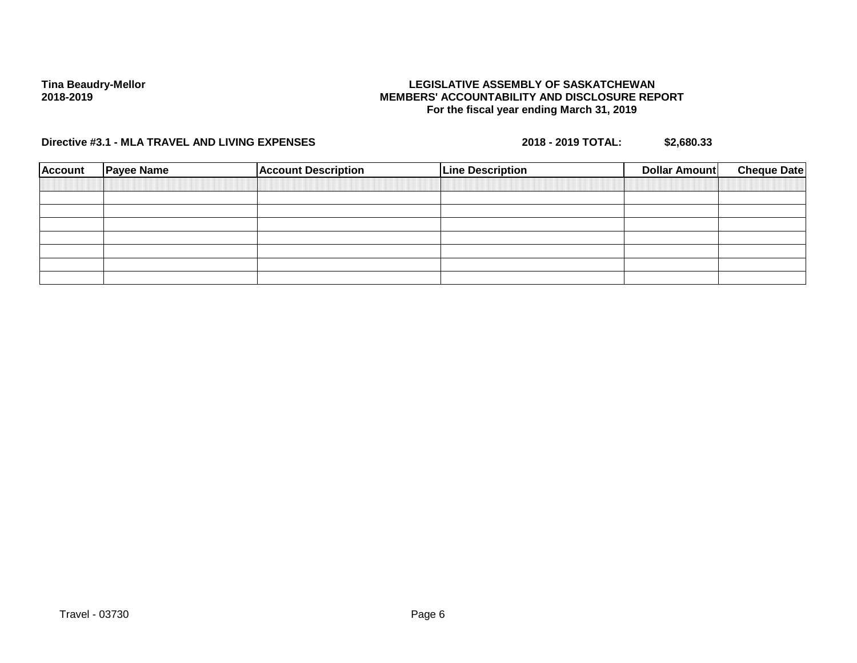### **LEGISLATIVE ASSEMBLY OF SASKATCHEWAN MEMBERS' ACCOUNTABILITY AND DISCLOSURE REPORT For the fiscal year ending March 31, 2019**

**Directive #3.1 - MLA TRAVEL AND LIVING EXPENSES 2018 - 2019 TOTAL: \$2,680.33**

| <b>Account</b> | <b>Payee Name</b> | <b>Account Description</b> | <b>Line Description</b> | Dollar Amount | <b>Cheque Date</b> |
|----------------|-------------------|----------------------------|-------------------------|---------------|--------------------|
|                |                   |                            |                         |               |                    |
|                |                   |                            |                         |               |                    |
|                |                   |                            |                         |               |                    |
|                |                   |                            |                         |               |                    |
|                |                   |                            |                         |               |                    |
|                |                   |                            |                         |               |                    |
|                |                   |                            |                         |               |                    |
|                |                   |                            |                         |               |                    |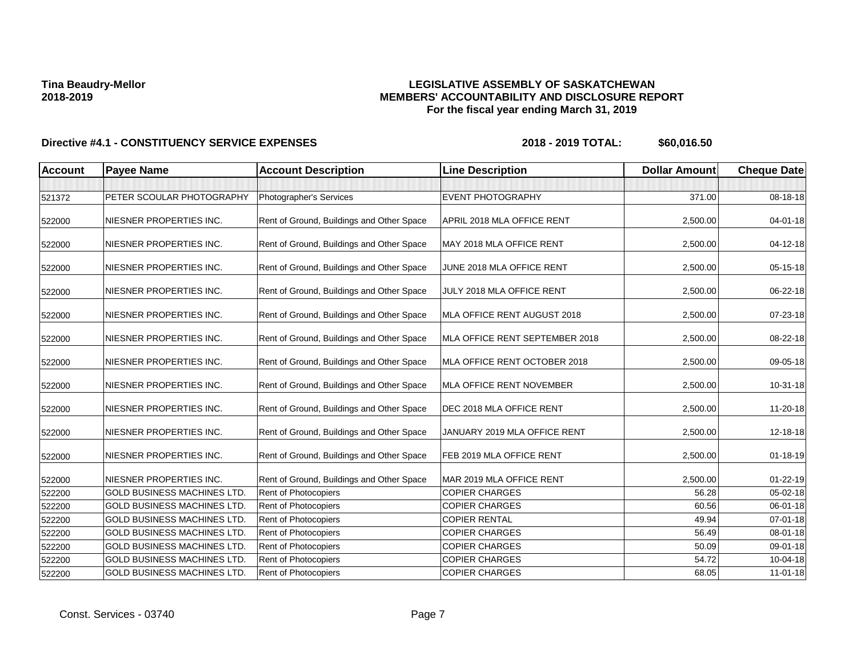### **LEGISLATIVE ASSEMBLY OF SASKATCHEWAN MEMBERS' ACCOUNTABILITY AND DISCLOSURE REPORT For the fiscal year ending March 31, 2019**

| <b>Account</b> | <b>Payee Name</b>                  | <b>Account Description</b>                | <b>Line Description</b>         | <b>Dollar Amount</b> | <b>Cheque Date</b> |
|----------------|------------------------------------|-------------------------------------------|---------------------------------|----------------------|--------------------|
|                |                                    |                                           |                                 |                      |                    |
| 521372         | PETER SCOULAR PHOTOGRAPHY          | Photographer's Services                   | <b>EVENT PHOTOGRAPHY</b>        | 371.00               | 08-18-18           |
| 522000         | NIESNER PROPERTIES INC.            | Rent of Ground, Buildings and Other Space | APRIL 2018 MLA OFFICE RENT      | 2,500.00             | 04-01-18           |
| 522000         | NIESNER PROPERTIES INC.            | Rent of Ground, Buildings and Other Space | MAY 2018 MLA OFFICE RENT        | 2,500.00             | $04 - 12 - 18$     |
| 522000         | NIESNER PROPERTIES INC.            | Rent of Ground, Buildings and Other Space | JUNE 2018 MLA OFFICE RENT       | 2,500.00             | 05-15-18           |
| 522000         | NIESNER PROPERTIES INC.            | Rent of Ground, Buildings and Other Space | JULY 2018 MLA OFFICE RENT       | 2,500.00             | 06-22-18           |
| 522000         | NIESNER PROPERTIES INC.            | Rent of Ground, Buildings and Other Space | MLA OFFICE RENT AUGUST 2018     | 2,500.00             | 07-23-18           |
| 522000         | NIESNER PROPERTIES INC.            | Rent of Ground, Buildings and Other Space | MLA OFFICE RENT SEPTEMBER 2018  | 2,500.00             | 08-22-18           |
| 522000         | NIESNER PROPERTIES INC.            | Rent of Ground, Buildings and Other Space | MLA OFFICE RENT OCTOBER 2018    | 2,500.00             | 09-05-18           |
| 522000         | NIESNER PROPERTIES INC.            | Rent of Ground, Buildings and Other Space | <b>MLA OFFICE RENT NOVEMBER</b> | 2,500.00             | 10-31-18           |
| 522000         | NIESNER PROPERTIES INC.            | Rent of Ground, Buildings and Other Space | DEC 2018 MLA OFFICE RENT        | 2,500.00             | 11-20-18           |
| 522000         | NIESNER PROPERTIES INC.            | Rent of Ground, Buildings and Other Space | JANUARY 2019 MLA OFFICE RENT    | 2,500.00             | 12-18-18           |
| 522000         | NIESNER PROPERTIES INC.            | Rent of Ground, Buildings and Other Space | FEB 2019 MLA OFFICE RENT        | 2,500.00             | 01-18-19           |
| 522000         | NIESNER PROPERTIES INC.            | Rent of Ground, Buildings and Other Space | MAR 2019 MLA OFFICE RENT        | 2,500.00             | $01 - 22 - 19$     |
| 522200         | <b>GOLD BUSINESS MACHINES LTD.</b> | <b>Rent of Photocopiers</b>               | <b>COPIER CHARGES</b>           | 56.28                | 05-02-18           |
| 522200         | <b>GOLD BUSINESS MACHINES LTD.</b> | Rent of Photocopiers                      | <b>COPIER CHARGES</b>           | 60.56                | 06-01-18           |
| 522200         | <b>GOLD BUSINESS MACHINES LTD.</b> | Rent of Photocopiers                      | <b>COPIER RENTAL</b>            | 49.94                | 07-01-18           |
| 522200         | <b>GOLD BUSINESS MACHINES LTD.</b> | Rent of Photocopiers                      | <b>COPIER CHARGES</b>           | 56.49                | 08-01-18           |
| 522200         | <b>GOLD BUSINESS MACHINES LTD.</b> | <b>Rent of Photocopiers</b>               | <b>COPIER CHARGES</b>           | 50.09                | 09-01-18           |
| 522200         | <b>GOLD BUSINESS MACHINES LTD.</b> | Rent of Photocopiers                      | <b>COPIER CHARGES</b>           | 54.72                | 10-04-18           |
| 522200         | <b>GOLD BUSINESS MACHINES LTD.</b> | Rent of Photocopiers                      | <b>COPIER CHARGES</b>           | 68.05                | $11-01-18$         |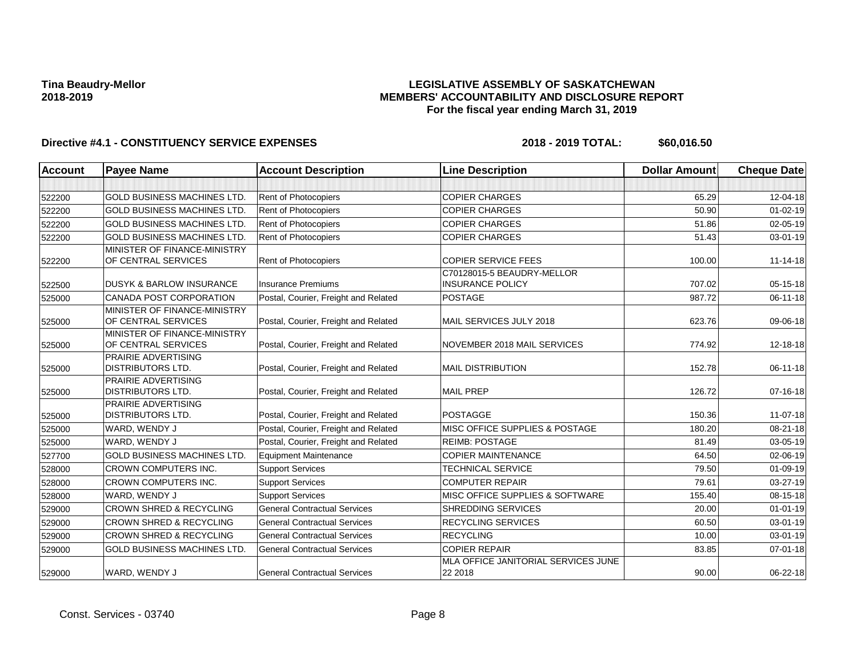### **LEGISLATIVE ASSEMBLY OF SASKATCHEWAN MEMBERS' ACCOUNTABILITY AND DISCLOSURE REPORT For the fiscal year ending March 31, 2019**

| <b>Account</b> | <b>Payee Name</b>                                      | <b>Account Description</b>           | <b>Line Description</b>                               | <b>Dollar Amount</b> | <b>Cheque Date</b> |
|----------------|--------------------------------------------------------|--------------------------------------|-------------------------------------------------------|----------------------|--------------------|
|                |                                                        |                                      |                                                       |                      |                    |
| 522200         | <b>GOLD BUSINESS MACHINES LTD.</b>                     | Rent of Photocopiers                 | <b>COPIER CHARGES</b>                                 | 65.29                | 12-04-18           |
| 522200         | <b>GOLD BUSINESS MACHINES LTD</b>                      | Rent of Photocopiers                 | <b>COPIER CHARGES</b>                                 | 50.90                | $01 - 02 - 19$     |
| 522200         | <b>GOLD BUSINESS MACHINES LTD</b>                      | Rent of Photocopiers                 | <b>COPIER CHARGES</b>                                 | 51.86                | 02-05-19           |
| 522200         | <b>GOLD BUSINESS MACHINES LTD.</b>                     | <b>Rent of Photocopiers</b>          | <b>COPIER CHARGES</b>                                 | 51.43                | 03-01-19           |
| 522200         | MINISTER OF FINANCE-MINISTRY<br>OF CENTRAL SERVICES    | Rent of Photocopiers                 | <b>COPIER SERVICE FEES</b>                            | 100.00               | $11 - 14 - 18$     |
| 522500         | <b>DUSYK &amp; BARLOW INSURANCE</b>                    | <b>Insurance Premiums</b>            | C70128015-5 BEAUDRY-MELLOR<br><b>INSURANCE POLICY</b> | 707.02               | $05 - 15 - 18$     |
| 525000         | CANADA POST CORPORATION                                | Postal, Courier, Freight and Related | <b>POSTAGE</b>                                        | 987.72               | 06-11-18           |
| 525000         | MINISTER OF FINANCE-MINISTRY<br>OF CENTRAL SERVICES    | Postal, Courier, Freight and Related | MAIL SERVICES JULY 2018                               | 623.76               | 09-06-18           |
| 525000         | MINISTER OF FINANCE-MINISTRY<br>OF CENTRAL SERVICES    | Postal, Courier, Freight and Related | NOVEMBER 2018 MAIL SERVICES                           | 774.92               | 12-18-18           |
| 525000         | <b>PRAIRIE ADVERTISING</b><br><b>DISTRIBUTORS LTD.</b> | Postal, Courier, Freight and Related | <b>MAIL DISTRIBUTION</b>                              | 152.78               | 06-11-18           |
| 525000         | <b>PRAIRIE ADVERTISING</b><br><b>DISTRIBUTORS LTD.</b> | Postal, Courier, Freight and Related | <b>MAIL PREP</b>                                      | 126.72               | 07-16-18           |
| 525000         | <b>PRAIRIE ADVERTISING</b><br><b>DISTRIBUTORS LTD.</b> | Postal, Courier, Freight and Related | POSTAGGE                                              | 150.36               | $11 - 07 - 18$     |
| 525000         | WARD, WENDY J                                          | Postal, Courier, Freight and Related | <b>MISC OFFICE SUPPLIES &amp; POSTAGE</b>             | 180.20               | $08 - 21 - 18$     |
| 525000         | WARD. WENDY J                                          | Postal, Courier, Freight and Related | <b>REIMB: POSTAGE</b>                                 | 81.49                | 03-05-19           |
| 527700         | <b>GOLD BUSINESS MACHINES LTD.</b>                     | <b>Equipment Maintenance</b>         | <b>COPIER MAINTENANCE</b>                             | 64.50                | 02-06-19           |
| 528000         | <b>CROWN COMPUTERS INC.</b>                            | <b>Support Services</b>              | <b>TECHNICAL SERVICE</b>                              | 79.50                | $01 - 09 - 19$     |
| 528000         | <b>CROWN COMPUTERS INC.</b>                            | <b>Support Services</b>              | <b>COMPUTER REPAIR</b>                                | 79.61                | 03-27-19           |
| 528000         | WARD, WENDY J                                          | <b>Support Services</b>              | MISC OFFICE SUPPLIES & SOFTWARE                       | 155.40               | 08-15-18           |
| 529000         | <b>CROWN SHRED &amp; RECYCLING</b>                     | <b>General Contractual Services</b>  | SHREDDING SERVICES                                    | 20.00                | $01 - 01 - 19$     |
| 529000         | <b>CROWN SHRED &amp; RECYCLING</b>                     | <b>General Contractual Services</b>  | <b>RECYCLING SERVICES</b>                             | 60.50                | $03 - 01 - 19$     |
| 529000         | <b>CROWN SHRED &amp; RECYCLING</b>                     | <b>General Contractual Services</b>  | <b>RECYCLING</b>                                      | 10.00                | 03-01-19           |
| 529000         | <b>GOLD BUSINESS MACHINES LTD.</b>                     | <b>General Contractual Services</b>  | <b>COPIER REPAIR</b>                                  | 83.85                | $07 - 01 - 18$     |
| 529000         | WARD, WENDY J                                          | <b>General Contractual Services</b>  | MLA OFFICE JANITORIAL SERVICES JUNE<br>22 2018        | 90.00                | 06-22-18           |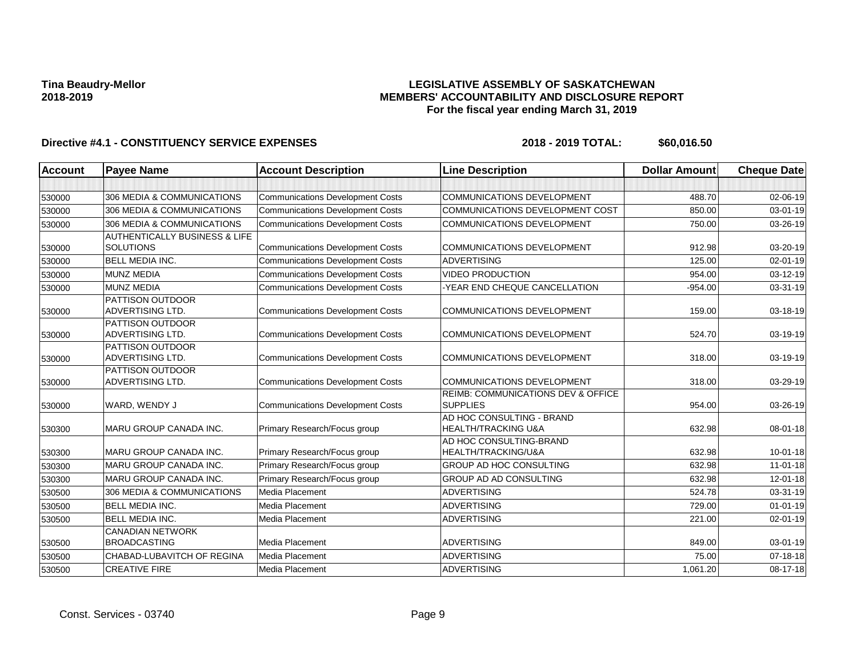### **LEGISLATIVE ASSEMBLY OF SASKATCHEWAN MEMBERS' ACCOUNTABILITY AND DISCLOSURE REPORT For the fiscal year ending March 31, 2019**

| <b>Account</b> | <b>Payee Name</b>                              | <b>Account Description</b>              | <b>Line Description</b>                                     | <b>Dollar Amount</b> | <b>Cheque Date</b> |
|----------------|------------------------------------------------|-----------------------------------------|-------------------------------------------------------------|----------------------|--------------------|
|                |                                                |                                         |                                                             |                      |                    |
| 530000         | 306 MEDIA & COMMUNICATIONS                     | <b>Communications Development Costs</b> | <b>COMMUNICATIONS DEVELOPMENT</b>                           | 488.70               | 02-06-19           |
| 530000         | 306 MEDIA & COMMUNICATIONS                     | <b>Communications Development Costs</b> | <b>COMMUNICATIONS DEVELOPMENT COST</b>                      | 850.00               | 03-01-19           |
| 530000         | 306 MEDIA & COMMUNICATIONS                     | <b>Communications Development Costs</b> | <b>COMMUNICATIONS DEVELOPMENT</b>                           | 750.00               | 03-26-19           |
|                | <b>AUTHENTICALLY BUSINESS &amp; LIFE</b>       |                                         |                                                             |                      |                    |
| 530000         | <b>SOLUTIONS</b>                               | <b>Communications Development Costs</b> | <b>COMMUNICATIONS DEVELOPMENT</b>                           | 912.98               | 03-20-19           |
| 530000         | <b>BELL MEDIA INC.</b>                         | <b>Communications Development Costs</b> | <b>ADVERTISING</b>                                          | 125.00               | $02 - 01 - 19$     |
| 530000         | <b>MUNZ MEDIA</b>                              | <b>Communications Development Costs</b> | <b>VIDEO PRODUCTION</b>                                     | 954.00               | $03 - 12 - 19$     |
| 530000         | <b>MUNZ MEDIA</b>                              | <b>Communications Development Costs</b> | YEAR END CHEQUE CANCELLATION                                | $-954.00$            | 03-31-19           |
| 530000         | PATTISON OUTDOOR<br>ADVERTISING LTD.           | <b>Communications Development Costs</b> | COMMUNICATIONS DEVELOPMENT                                  | 159.00               | 03-18-19           |
| 530000         | <b>PATTISON OUTDOOR</b><br>ADVERTISING LTD.    | <b>Communications Development Costs</b> | <b>COMMUNICATIONS DEVELOPMENT</b>                           | 524.70               | 03-19-19           |
| 530000         | <b>PATTISON OUTDOOR</b><br>ADVERTISING LTD.    | <b>Communications Development Costs</b> | <b>COMMUNICATIONS DEVELOPMENT</b>                           | 318.00               | 03-19-19           |
| 530000         | <b>PATTISON OUTDOOR</b><br>ADVERTISING LTD.    | <b>Communications Development Costs</b> | <b>COMMUNICATIONS DEVELOPMENT</b>                           | 318.00               | 03-29-19           |
| 530000         | WARD, WENDY J                                  | <b>Communications Development Costs</b> | REIMB: COMMUNICATIONS DEV & OFFICE<br><b>SUPPLIES</b>       | 954.00               | 03-26-19           |
| 530300         | <b>MARU GROUP CANADA INC.</b>                  | Primary Research/Focus group            | AD HOC CONSULTING - BRAND<br><b>HEALTH/TRACKING U&amp;A</b> | 632.98               | 08-01-18           |
| 530300         | MARU GROUP CANADA INC.                         | Primary Research/Focus group            | AD HOC CONSULTING-BRAND<br>HEALTH/TRACKING/U&A              | 632.98               | $10 - 01 - 18$     |
| 530300         | <b>MARU GROUP CANADA INC.</b>                  | Primary Research/Focus group            | <b>GROUP AD HOC CONSULTING</b>                              | 632.98               | $11-01-18$         |
| 530300         | MARU GROUP CANADA INC.                         | Primary Research/Focus group            | GROUP AD AD CONSULTING                                      | 632.98               | $12 - 01 - 18$     |
| 530500         | 306 MEDIA & COMMUNICATIONS                     | Media Placement                         | <b>ADVERTISING</b>                                          | 524.78               | 03-31-19           |
| 530500         | <b>BELL MEDIA INC.</b>                         | Media Placement                         | <b>ADVERTISING</b>                                          | 729.00               | $01 - 01 - 19$     |
| 530500         | <b>BELL MEDIA INC.</b>                         | Media Placement                         | <b>ADVERTISING</b>                                          | 221.00               | 02-01-19           |
| 530500         | <b>CANADIAN NETWORK</b><br><b>BROADCASTING</b> | Media Placement                         | <b>ADVERTISING</b>                                          | 849.00               | 03-01-19           |
| 530500         | CHABAD-LUBAVITCH OF REGINA                     | Media Placement                         | <b>ADVERTISING</b>                                          | 75.00                | $07 - 18 - 18$     |
| 530500         | <b>CREATIVE FIRE</b>                           | Media Placement                         | <b>ADVERTISING</b>                                          | 1,061.20             | 08-17-18           |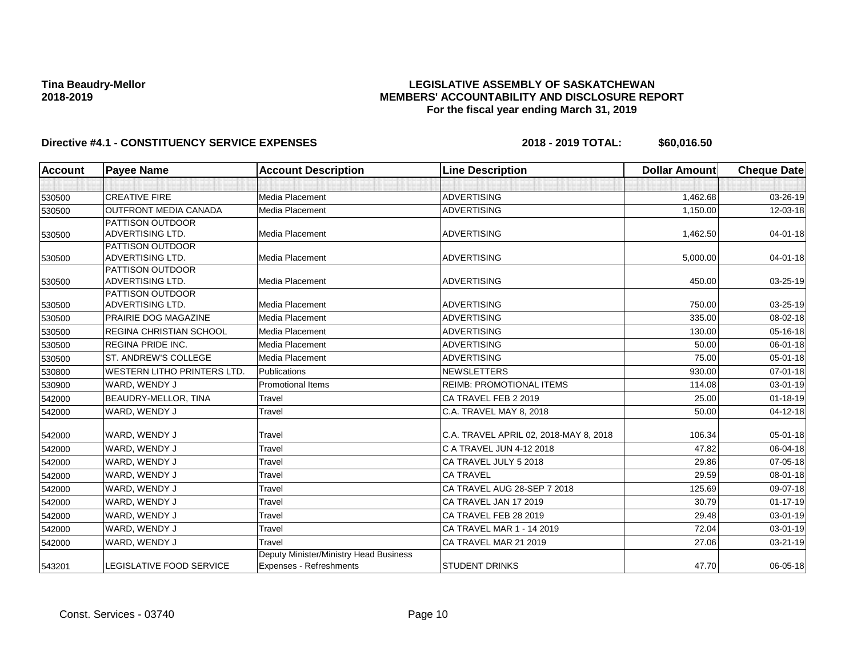### **LEGISLATIVE ASSEMBLY OF SASKATCHEWAN MEMBERS' ACCOUNTABILITY AND DISCLOSURE REPORT For the fiscal year ending March 31, 2019**

| <b>Account</b> | <b>Payee Name</b>                  | <b>Account Description</b>                                        | <b>Line Description</b>                | <b>Dollar Amount</b> | <b>Cheque Date</b> |
|----------------|------------------------------------|-------------------------------------------------------------------|----------------------------------------|----------------------|--------------------|
|                |                                    |                                                                   |                                        |                      |                    |
| 530500         | <b>CREATIVE FIRE</b>               | Media Placement                                                   | <b>ADVERTISING</b>                     | 1,462.68             | $03 - 26 - 19$     |
| 530500         | <b>OUTFRONT MEDIA CANADA</b>       | Media Placement                                                   | <b>ADVERTISING</b>                     | 1,150.00             | $12 - 03 - 18$     |
|                | <b>PATTISON OUTDOOR</b>            |                                                                   |                                        |                      |                    |
| 530500         | ADVERTISING LTD.                   | Media Placement                                                   | <b>ADVERTISING</b>                     | 1,462.50             | 04-01-18           |
|                | <b>PATTISON OUTDOOR</b>            |                                                                   |                                        |                      |                    |
| 530500         | ADVERTISING LTD.                   | Media Placement                                                   | <b>ADVERTISING</b>                     | 5,000.00             | $04 - 01 - 18$     |
|                | <b>PATTISON OUTDOOR</b>            |                                                                   |                                        |                      |                    |
| 530500         | ADVERTISING LTD.                   | Media Placement                                                   | <b>ADVERTISING</b>                     | 450.00               | 03-25-19           |
|                | PATTISON OUTDOOR                   |                                                                   |                                        |                      |                    |
| 530500         | ADVERTISING LTD.                   | Media Placement                                                   | <b>ADVERTISING</b>                     | 750.00               | 03-25-19           |
| 530500         | <b>PRAIRIE DOG MAGAZINE</b>        | Media Placement                                                   | <b>ADVERTISING</b>                     | 335.00               | $08 - 02 - 18$     |
| 530500         | <b>REGINA CHRISTIAN SCHOOL</b>     | Media Placement                                                   | <b>ADVERTISING</b>                     | 130.00               | 05-16-18           |
| 530500         | <b>REGINA PRIDE INC.</b>           | Media Placement                                                   | <b>ADVERTISING</b>                     | 50.00                | 06-01-18           |
| 530500         | ST. ANDREW'S COLLEGE               | Media Placement                                                   | <b>ADVERTISING</b>                     | 75.00                | $05 - 01 - 18$     |
| 530800         | <b>WESTERN LITHO PRINTERS LTD.</b> | Publications                                                      | <b>NEWSLETTERS</b>                     | 930.00               | $07 - 01 - 18$     |
| 530900         | WARD, WENDY J                      | <b>Promotional Items</b>                                          | <b>REIMB: PROMOTIONAL ITEMS</b>        | 114.08               | 03-01-19           |
| 542000         | BEAUDRY-MELLOR, TINA               | Travel                                                            | CA TRAVEL FEB 2 2019                   | 25.00                | $01 - 18 - 19$     |
| 542000         | WARD, WENDY J                      | Travel                                                            | C.A. TRAVEL MAY 8, 2018                | 50.00                | $04 - 12 - 18$     |
| 542000         | WARD, WENDY J                      | Travel                                                            | C.A. TRAVEL APRIL 02, 2018-MAY 8, 2018 | 106.34               | 05-01-18           |
| 542000         | WARD, WENDY J                      | Travel                                                            | C A TRAVEL JUN 4-12 2018               | 47.82                | 06-04-18           |
| 542000         | WARD, WENDY J                      | Travel                                                            | CA TRAVEL JULY 5 2018                  | 29.86                | $07 - 05 - 18$     |
| 542000         | WARD, WENDY J                      | Travel                                                            | <b>CA TRAVEL</b>                       | 29.59                | 08-01-18           |
| 542000         | WARD, WENDY J                      | Travel                                                            | CA TRAVEL AUG 28-SEP 7 2018            | 125.69               | 09-07-18           |
| 542000         | WARD, WENDY J                      | Travel                                                            | CA TRAVEL JAN 17 2019                  | 30.79                | $01 - 17 - 19$     |
| 542000         | WARD, WENDY J                      | Travel                                                            | CA TRAVEL FEB 28 2019                  | 29.48                | $03 - 01 - 19$     |
| 542000         | WARD, WENDY J                      | Travel                                                            | CA TRAVEL MAR 1 - 14 2019              | 72.04                | $03 - 01 - 19$     |
| 542000         | WARD, WENDY J                      | Travel                                                            | CA TRAVEL MAR 21 2019                  | 27.06                | 03-21-19           |
| 543201         | LEGISLATIVE FOOD SERVICE           | Deputy Minister/Ministry Head Business<br>Expenses - Refreshments | <b>STUDENT DRINKS</b>                  | 47.70                | 06-05-18           |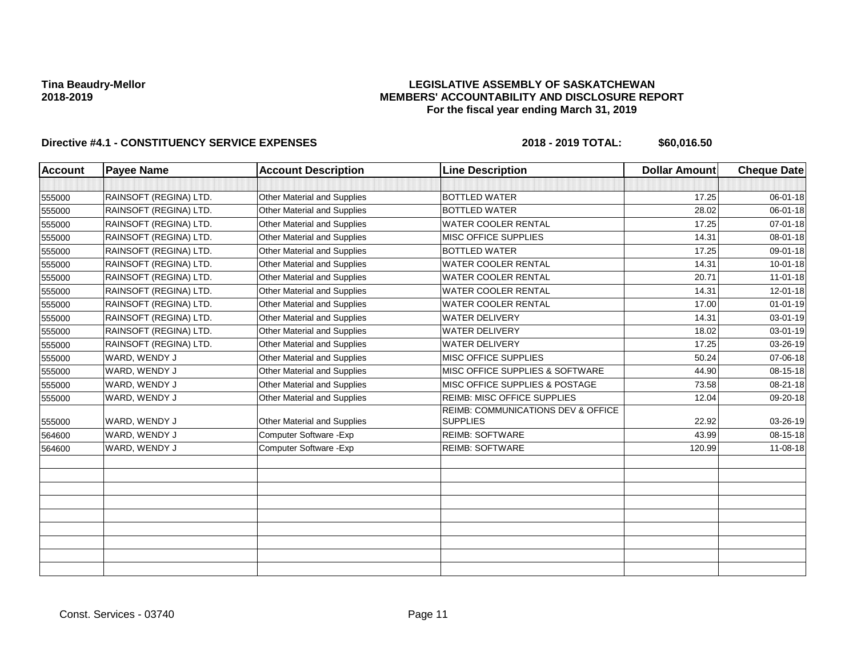### **LEGISLATIVE ASSEMBLY OF SASKATCHEWAN MEMBERS' ACCOUNTABILITY AND DISCLOSURE REPORT For the fiscal year ending March 31, 2019**

| <b>Account</b> | <b>Payee Name</b>      | <b>Account Description</b>         | <b>Line Description</b>                               | <b>Dollar Amount</b> | <b>Cheque Date</b> |
|----------------|------------------------|------------------------------------|-------------------------------------------------------|----------------------|--------------------|
|                |                        |                                    |                                                       |                      |                    |
| 555000         | RAINSOFT (REGINA) LTD. | Other Material and Supplies        | <b>BOTTLED WATER</b>                                  | 17.25                | $06 - 01 - 18$     |
| 555000         | RAINSOFT (REGINA) LTD. | Other Material and Supplies        | <b>BOTTLED WATER</b>                                  | 28.02                | 06-01-18           |
| 555000         | RAINSOFT (REGINA) LTD. | Other Material and Supplies        | <b>WATER COOLER RENTAL</b>                            | 17.25                | $07 - 01 - 18$     |
| 555000         | RAINSOFT (REGINA) LTD. | Other Material and Supplies        | <b>MISC OFFICE SUPPLIES</b>                           | 14.31                | 08-01-18           |
| 555000         | RAINSOFT (REGINA) LTD. | Other Material and Supplies        | <b>BOTTLED WATER</b>                                  | 17.25                | 09-01-18           |
| 555000         | RAINSOFT (REGINA) LTD. | Other Material and Supplies        | <b>WATER COOLER RENTAL</b>                            | 14.31                | $10 - 01 - 18$     |
| 555000         | RAINSOFT (REGINA) LTD. | Other Material and Supplies        | <b>WATER COOLER RENTAL</b>                            | 20.71                | $11-01-18$         |
| 555000         | RAINSOFT (REGINA) LTD. | <b>Other Material and Supplies</b> | <b>WATER COOLER RENTAL</b>                            | 14.31                | $12 - 01 - 18$     |
| 555000         | RAINSOFT (REGINA) LTD. | Other Material and Supplies        | <b>WATER COOLER RENTAL</b>                            | 17.00                | $01 - 01 - 19$     |
| 555000         | RAINSOFT (REGINA) LTD. | Other Material and Supplies        | <b>WATER DELIVERY</b>                                 | 14.31                | 03-01-19           |
| 555000         | RAINSOFT (REGINA) LTD. | Other Material and Supplies        | <b>WATER DELIVERY</b>                                 | 18.02                | 03-01-19           |
| 555000         | RAINSOFT (REGINA) LTD. | Other Material and Supplies        | <b>WATER DELIVERY</b>                                 | 17.25                | 03-26-19           |
| 555000         | WARD, WENDY J          | Other Material and Supplies        | MISC OFFICE SUPPLIES                                  | 50.24                | 07-06-18           |
| 555000         | WARD, WENDY J          | Other Material and Supplies        | MISC OFFICE SUPPLIES & SOFTWARE                       | 44.90                | 08-15-18           |
| 555000         | WARD, WENDY J          | Other Material and Supplies        | MISC OFFICE SUPPLIES & POSTAGE                        | 73.58                | 08-21-18           |
| 555000         | WARD, WENDY J          | Other Material and Supplies        | <b>REIMB: MISC OFFICE SUPPLIES</b>                    | 12.04                | 09-20-18           |
| 555000         | WARD, WENDY J          | <b>Other Material and Supplies</b> | REIMB: COMMUNICATIONS DEV & OFFICE<br><b>SUPPLIES</b> | 22.92                | 03-26-19           |
| 564600         | WARD, WENDY J          | Computer Software - Exp            | <b>REIMB: SOFTWARE</b>                                | 43.99                | 08-15-18           |
| 564600         | WARD, WENDY J          | Computer Software - Exp            | <b>REIMB: SOFTWARE</b>                                | 120.99               | $11-08-18$         |
|                |                        |                                    |                                                       |                      |                    |
|                |                        |                                    |                                                       |                      |                    |
|                |                        |                                    |                                                       |                      |                    |
|                |                        |                                    |                                                       |                      |                    |
|                |                        |                                    |                                                       |                      |                    |
|                |                        |                                    |                                                       |                      |                    |
|                |                        |                                    |                                                       |                      |                    |
|                |                        |                                    |                                                       |                      |                    |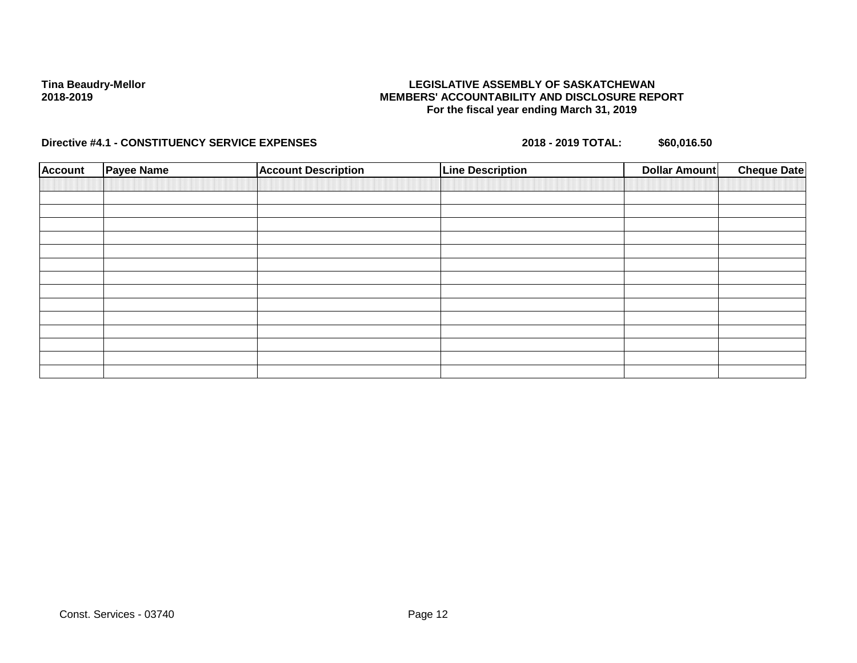### **LEGISLATIVE ASSEMBLY OF SASKATCHEWAN MEMBERS' ACCOUNTABILITY AND DISCLOSURE REPORT For the fiscal year ending March 31, 2019**

| <b>Account</b> | <b>Payee Name</b> | <b>Account Description</b> | <b>Line Description</b> | <b>Cheque Date</b><br><b>Dollar Amount</b> |  |
|----------------|-------------------|----------------------------|-------------------------|--------------------------------------------|--|
|                |                   |                            |                         |                                            |  |
|                |                   |                            |                         |                                            |  |
|                |                   |                            |                         |                                            |  |
|                |                   |                            |                         |                                            |  |
|                |                   |                            |                         |                                            |  |
|                |                   |                            |                         |                                            |  |
|                |                   |                            |                         |                                            |  |
|                |                   |                            |                         |                                            |  |
|                |                   |                            |                         |                                            |  |
|                |                   |                            |                         |                                            |  |
|                |                   |                            |                         |                                            |  |
|                |                   |                            |                         |                                            |  |
|                |                   |                            |                         |                                            |  |
|                |                   |                            |                         |                                            |  |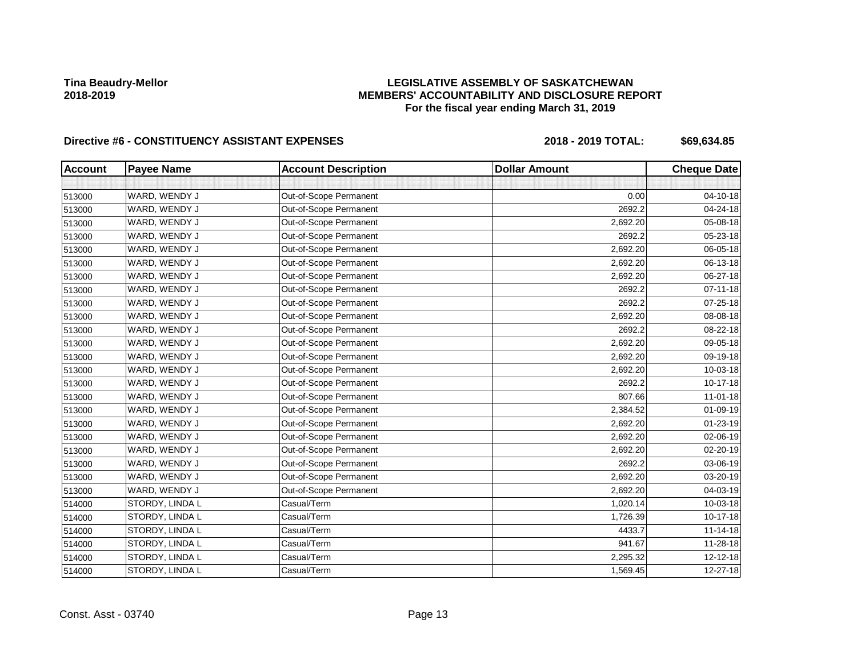### **LEGISLATIVE ASSEMBLY OF SASKATCHEWAN MEMBERS' ACCOUNTABILITY AND DISCLOSURE REPORT For the fiscal year ending March 31, 2019**

# Directive #6 - CONSTITUENCY ASSISTANT EXPENSES 2018 - 2018 - 2019 TOTAL: \$69,634.85

| <b>Account</b> | <b>Payee Name</b> | <b>Account Description</b> | <b>Dollar Amount</b> | <b>Cheque Date</b> |
|----------------|-------------------|----------------------------|----------------------|--------------------|
|                |                   |                            |                      |                    |
| 513000         | WARD, WENDY J     | Out-of-Scope Permanent     | 0.00                 | 04-10-18           |
| 513000         | WARD, WENDY J     | Out-of-Scope Permanent     | 2692.2               | 04-24-18           |
| 513000         | WARD, WENDY J     | Out-of-Scope Permanent     | 2,692.20             | 05-08-18           |
| 513000         | WARD, WENDY J     | Out-of-Scope Permanent     | 2692.2               | 05-23-18           |
| 513000         | WARD, WENDY J     | Out-of-Scope Permanent     | 2,692.20             | 06-05-18           |
| 513000         | WARD, WENDY J     | Out-of-Scope Permanent     | 2,692.20             | 06-13-18           |
| 513000         | WARD, WENDY J     | Out-of-Scope Permanent     | 2,692.20             | 06-27-18           |
| 513000         | WARD, WENDY J     | Out-of-Scope Permanent     | 2692.2               | $07 - 11 - 18$     |
| 513000         | WARD, WENDY J     | Out-of-Scope Permanent     | 2692.2               | 07-25-18           |
| 513000         | WARD, WENDY J     | Out-of-Scope Permanent     | 2,692.20             | 08-08-18           |
| 513000         | WARD, WENDY J     | Out-of-Scope Permanent     | 2692.2               | 08-22-18           |
| 513000         | WARD, WENDY J     | Out-of-Scope Permanent     | 2,692.20             | 09-05-18           |
| 513000         | WARD, WENDY J     | Out-of-Scope Permanent     | 2,692.20             | 09-19-18           |
| 513000         | WARD, WENDY J     | Out-of-Scope Permanent     | 2,692.20             | 10-03-18           |
| 513000         | WARD, WENDY J     | Out-of-Scope Permanent     | 2692.2               | $10-17-18$         |
| 513000         | WARD, WENDY J     | Out-of-Scope Permanent     | 807.66               | 11-01-18           |
| 513000         | WARD, WENDY J     | Out-of-Scope Permanent     | 2,384.52             | 01-09-19           |
| 513000         | WARD, WENDY J     | Out-of-Scope Permanent     | 2,692.20             | 01-23-19           |
| 513000         | WARD, WENDY J     | Out-of-Scope Permanent     | 2,692.20             | 02-06-19           |
| 513000         | WARD, WENDY J     | Out-of-Scope Permanent     | 2,692.20             | 02-20-19           |
| 513000         | WARD, WENDY J     | Out-of-Scope Permanent     | 2692.2               | 03-06-19           |
| 513000         | WARD, WENDY J     | Out-of-Scope Permanent     | 2,692.20             | 03-20-19           |
| 513000         | WARD, WENDY J     | Out-of-Scope Permanent     | 2,692.20             | 04-03-19           |
| 514000         | STORDY, LINDA L   | Casual/Term                | 1,020.14             | 10-03-18           |
| 514000         | STORDY, LINDA L   | Casual/Term                | 1,726.39             | $10 - 17 - 18$     |
| 514000         | STORDY, LINDA L   | Casual/Term                | 4433.7               | $11 - 14 - 18$     |
| 514000         | STORDY, LINDA L   | Casual/Term                | 941.67               | 11-28-18           |
| 514000         | STORDY, LINDA L   | Casual/Term                | 2,295.32             | 12-12-18           |
| 514000         | STORDY, LINDA L   | Casual/Term                | 1,569.45             | 12-27-18           |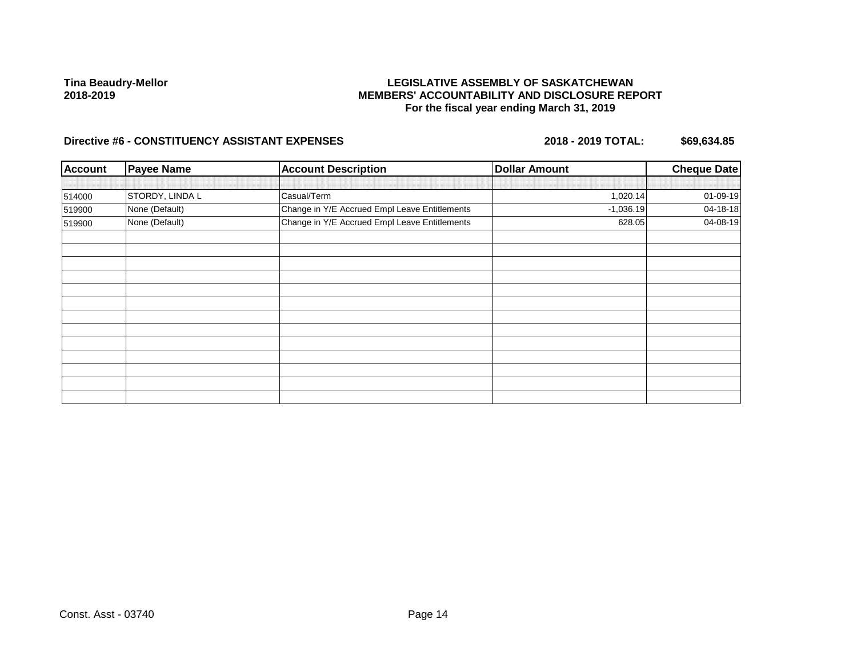## **LEGISLATIVE ASSEMBLY OF SASKATCHEWAN MEMBERS' ACCOUNTABILITY AND DISCLOSURE REPORT For the fiscal year ending March 31, 2019**

## Directive #6 - CONSTITUENCY ASSISTANT EXPENSES 2018 - 2018 - 2019 TOTAL: \$69,634.85

| <b>Account</b> | <b>Payee Name</b> | <b>Account Description</b>                    | <b>Dollar Amount</b> | <b>Cheque Date</b> |
|----------------|-------------------|-----------------------------------------------|----------------------|--------------------|
|                |                   |                                               |                      |                    |
| 514000         | STORDY, LINDA L   | Casual/Term                                   | 1,020.14             | 01-09-19           |
| 519900         | None (Default)    | Change in Y/E Accrued Empl Leave Entitlements | $-1,036.19$          | $04 - 18 - 18$     |
| 519900         | None (Default)    | Change in Y/E Accrued Empl Leave Entitlements | 628.05               | 04-08-19           |
|                |                   |                                               |                      |                    |
|                |                   |                                               |                      |                    |
|                |                   |                                               |                      |                    |
|                |                   |                                               |                      |                    |
|                |                   |                                               |                      |                    |
|                |                   |                                               |                      |                    |
|                |                   |                                               |                      |                    |
|                |                   |                                               |                      |                    |
|                |                   |                                               |                      |                    |
|                |                   |                                               |                      |                    |
|                |                   |                                               |                      |                    |